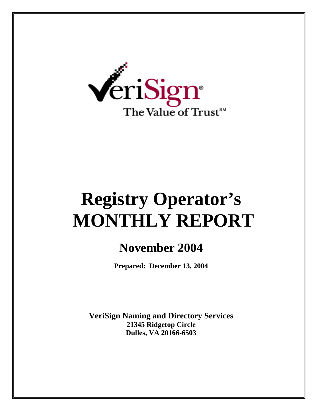

# **Registry Operator's MONTHLY REPORT**

# **November 2004**

**Prepared: December 13, 2004** 

**VeriSign Naming and Directory Services 21345 Ridgetop Circle Dulles, VA 20166-6503**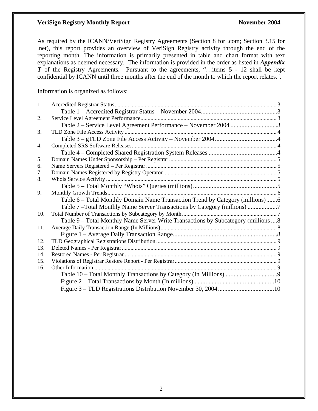#### **VeriSign Registry Monthly Report November 2004**

As required by the ICANN/VeriSign Registry Agreements (Section 8 for .com; Section 3.15 for .net), this report provides an overview of VeriSign Registry activity through the end of the reporting month. The information is primarily presented in table and chart format with text explanations as deemed necessary. The information is provided in the order as listed in *Appendix T* of the Registry Agreements. Pursuant to the agreements, "...items 5 - 12 shall be kept confidential by ICANN until three months after the end of the month to which the report relates.".

Information is organized as follows:

| 1.  |                                                                                     |  |
|-----|-------------------------------------------------------------------------------------|--|
|     |                                                                                     |  |
| 2.  |                                                                                     |  |
|     | Table 2 - Service Level Agreement Performance - November 2004 3                     |  |
| 3.  |                                                                                     |  |
|     |                                                                                     |  |
| 4.  |                                                                                     |  |
|     |                                                                                     |  |
| 5.  |                                                                                     |  |
| 6.  |                                                                                     |  |
| 7.  |                                                                                     |  |
| 8.  |                                                                                     |  |
|     |                                                                                     |  |
| 9.  |                                                                                     |  |
|     | Table 6 - Total Monthly Domain Name Transaction Trend by Category (millions)6       |  |
|     | Table 7-Total Monthly Name Server Transactions by Category (millions)               |  |
| 10. |                                                                                     |  |
|     | Table 9 – Total Monthly Name Server Write Transactions by Subcategory (millions  8) |  |
| 11. |                                                                                     |  |
|     |                                                                                     |  |
| 12. |                                                                                     |  |
| 13. |                                                                                     |  |
| 14. |                                                                                     |  |
| 15. |                                                                                     |  |
| 16. |                                                                                     |  |
|     |                                                                                     |  |
|     |                                                                                     |  |
|     |                                                                                     |  |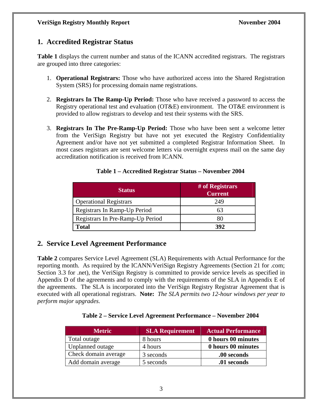# **1. Accredited Registrar Status**

**Table 1** displays the current number and status of the ICANN accredited registrars. The registrars are grouped into three categories:

- 1. **Operational Registrars:** Those who have authorized access into the Shared Registration System (SRS) for processing domain name registrations.
- 2. **Registrars In The Ramp-Up Period:** Those who have received a password to access the Registry operational test and evaluation (OT&E) environment. The OT&E environment is provided to allow registrars to develop and test their systems with the SRS.
- 3. **Registrars In The Pre-Ramp-Up Period:** Those who have been sent a welcome letter from the VeriSign Registry but have not yet executed the Registry Confidentiality Agreement and/or have not yet submitted a completed Registrar Information Sheet. In most cases registrars are sent welcome letters via overnight express mail on the same day accreditation notification is received from ICANN.

| <b>Status</b>                    | # of Registrars<br><b>Current</b> |
|----------------------------------|-----------------------------------|
| <b>Operational Registrars</b>    | 249                               |
| Registrars In Ramp-Up Period     | 63                                |
| Registrars In Pre-Ramp-Up Period | 80                                |
| <b>Total</b>                     | 392                               |

### **Table 1 – Accredited Registrar Status – November 2004**

# **2. Service Level Agreement Performance**

**Table 2** compares Service Level Agreement (SLA) Requirements with Actual Performance for the reporting month. As required by the ICANN/VeriSign Registry Agreements (Section 21 for .com; Section 3.3 for .net), the VeriSign Registry is committed to provide service levels as specified in Appendix D of the agreements and to comply with the requirements of the SLA in Appendix E of the agreements. The SLA is incorporated into the VeriSign Registry Registrar Agreement that is executed with all operational registrars. **Note:** *The SLA permits two 12-hour windows per year to perform major upgrades.* 

#### **Table 2 – Service Level Agreement Performance – November 2004**

| <b>Metric</b>        | <b>SLA Requirement</b> | <b>Actual Performance</b> |
|----------------------|------------------------|---------------------------|
| Total outage         | 8 hours                | 0 hours 00 minutes        |
| Unplanned outage     | 4 hours                | 0 hours 00 minutes        |
| Check domain average | 3 seconds              | .00 seconds               |
| Add domain average   | 5 seconds              | .01 seconds               |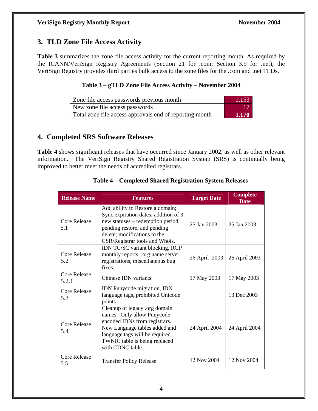# **3. TLD Zone File Access Activity**

**Table 3** summarizes the zone file access activity for the current reporting month. As required by the ICANN/VeriSign Registry Agreements (Section 21 for .com; Section 3.9 for .net), the VeriSign Registry provides third parties bulk access to the zone files for the .com and .net TLDs.

### **Table 3 – gTLD Zone File Access Activity – November 2004**

| Zone file access passwords previous month               | -1.153 |
|---------------------------------------------------------|--------|
| New zone file access passwords                          |        |
| Total zone file access approvals end of reporting month | 1.170  |

# **4. Completed SRS Software Releases**

**Table 4** shows significant releases that have occurred since January 2002, as well as other relevant information. The VeriSign Registry Shared Registration System (SRS) is continually being improved to better meet the needs of accredited registrars.

| <b>Release Name</b>          | <b>Features</b>                                                                                                                                                                                                        | <b>Target Date</b> | <b>Complete</b><br><b>Date</b> |
|------------------------------|------------------------------------------------------------------------------------------------------------------------------------------------------------------------------------------------------------------------|--------------------|--------------------------------|
| <b>Core Release</b><br>5.1   | Add ability to Restore a domain;<br>Sync expiration dates; addition of 3<br>new statuses – redemption period,<br>pending restore, and pending<br>delete; modifications to the<br>CSR/Registrar tools and Whois.        | 25 Jan 2003        | 25 Jan 2003                    |
| <b>Core Release</b><br>5.2   | IDN TC/SC variant blocking, RGP<br>monthly reports, .org name server<br>registrations, miscellaneous bug<br>fixes.                                                                                                     | 26 April 2003      | 26 April 2003                  |
| <b>Core Release</b><br>5.2.1 | Chinese IDN variants                                                                                                                                                                                                   | 17 May 2003        | 17 May 2003                    |
| <b>Core Release</b><br>5.3   | IDN Punycode migration, IDN<br>language tags, prohibited Unicode<br>points                                                                                                                                             |                    | 13 Dec 2003                    |
| Core Release<br>5.4          | Cleanup of legacy .org domain<br>names. Only allow Punycode-<br>encoded IDNs from registrars.<br>New Language tables added and<br>language tags will be required.<br>TWNIC table is being replaced<br>with CDNC table. | 24 April 2004      | 24 April 2004                  |
| <b>Core Release</b><br>5.5   | <b>Transfer Policy Release</b>                                                                                                                                                                                         | 12 Nov 2004        | 12 Nov 2004                    |

#### **Table 4 – Completed Shared Registration System Releases**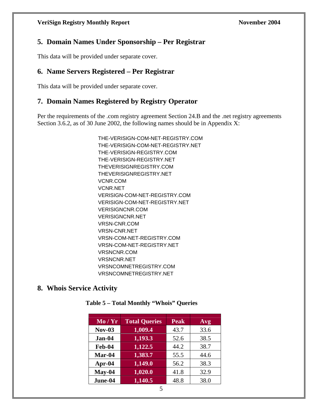# **5. Domain Names Under Sponsorship – Per Registrar**

This data will be provided under separate cover.

#### **6. Name Servers Registered – Per Registrar**

This data will be provided under separate cover.

# **7. Domain Names Registered by Registry Operator**

Per the requirements of the .com registry agreement Section 24.B and the .net registry agreements Section 3.6.2, as of 30 June 2002, the following names should be in Appendix X:

> THE-VERISIGN-COM-NET-REGISTRY.COM THE-VERISIGN-COM-NET-REGISTRY.NET THE-VERISIGN-REGISTRY.COM THE-VERISIGN-REGISTRY.NET THEVERISIGNREGISTRY.COM THEVERISIGNREGISTRY.NET VCNR.COM VCNR.NET VERISIGN-COM-NET-REGISTRY.COM VERISIGN-COM-NET-REGISTRY.NET VERISIGNCNR.COM VERISIGNCNR.NET VRSN-CNR.COM VRSN-CNR.NET VRSN-COM-NET-REGISTRY.COM VRSN-COM-NET-REGISTRY.NET VRSNCNR.COM VRSNCNR.NET VRSNCOMNETREGISTRY.COM VRSNCOMNETREGISTRY.NET

#### **8. Whois Service Activity**

| Mo/Yr         | <b>Total Queries</b> | <b>Peak</b> | Avg  |
|---------------|----------------------|-------------|------|
| <b>Nov-03</b> | 1,009.4              | 43.7        | 33.6 |
| Jan-04        | 1,193.3              | 52.6        | 38.5 |
| Feb-04        | 1,122.5              | 44.2        | 38.7 |
| Mar-04        | 1,383.7              | 55.5        | 44.6 |
| Apr- $04$     | 1,149.0              | 56.2        | 38.3 |
| $May-04$      | 1,020.0              | 41.8        | 32.9 |
| June-04       | 1,140.5              | 48.8        | 38.0 |

#### **Table 5 – Total Monthly "Whois" Queries**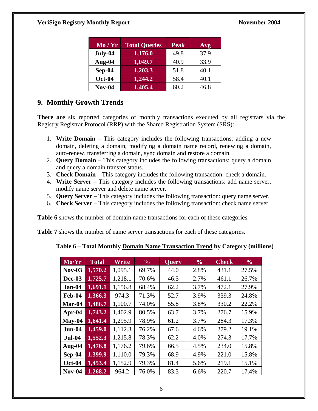| Mo/Yr         | <b>Total Queries</b> | <b>Peak</b> | Avg  |
|---------------|----------------------|-------------|------|
| July-04       | 1,176.0              | 49.8        | 37.9 |
| Aug-04        | 1,049.7              | 40.9        | 33.9 |
| $Sep-04$      | 1,203.3              | 51.8        | 40.1 |
| <b>Oct-04</b> | 1,244.2              | 58.4        | 40.1 |
| $Nov-04$      | 1,405.4              | 60.2        | 46.8 |

# **9. Monthly Growth Trends**

**There are** six reported categories of monthly transactions executed by all registrars via the Registry Registrar Protocol (RRP) with the Shared Registration System (SRS):

- 1. **Write Domain**  This category includes the following transactions: adding a new domain, deleting a domain, modifying a domain name record, renewing a domain, auto-renew, transferring a domain, sync domain and restore a domain.
- 2. **Query Domain** This category includes the following transactions: query a domain and query a domain transfer status.
- 3. **Check Domain** This category includes the following transaction: check a domain.
- 4. **Write Server** This category includes the following transactions: add name server, modify name server and delete name server.
- 5. **Query Server** This category includes the following transaction: query name server.
- 6. **Check Server**  This category includes the following transaction: check name server.

**Table 6** shows the number of domain name transactions for each of these categories.

**Table 7** shows the number of name server transactions for each of these categories.

| Table 6 – Total Monthly Domain Name Transaction Trend by Category (millions) |  |  |  |
|------------------------------------------------------------------------------|--|--|--|
|------------------------------------------------------------------------------|--|--|--|

| Mo/Yr         | <b>Total</b> | <b>Write</b> | $\frac{6}{6}$ | <b>Query</b> | $\frac{6}{6}$ | <b>Check</b> | $\frac{6}{6}$ |
|---------------|--------------|--------------|---------------|--------------|---------------|--------------|---------------|
| <b>Nov-03</b> | 1,570.2      | 1,095.1      | 69.7%         | 44.0         | 2.8%          | 431.1        | 27.5%         |
| $Dec-03$      | 1,725.7      | 1,218.1      | 70.6%         | 46.5         | 2.7%          | 461.1        | 26.7%         |
| Jan-04        | 1,691.1      | 1,156.8      | 68.4%         | 62.2         | 3.7%          | 472.1        | 27.9%         |
| Feb-04        | 1,366.3      | 974.3        | 71.3%         | 52.7         | 3.9%          | 339.3        | 24.8%         |
| Mar-04        | 1,486.7      | 1,100.7      | 74.0%         | 55.8         | 3.8%          | 330.2        | 22.2%         |
| Apr- $04$     | 1,743.2      | 1,402.9      | 80.5%         | 63.7         | 3.7%          | 276.7        | 15.9%         |
| $May-04$      | 1,641.4      | 1,295.9      | 78.9%         | 61.2         | 3.7%          | 284.3        | 17.3%         |
| <b>Jun-04</b> | 1,459.0      | 1,112.3      | 76.2%         | 67.6         | 4.6%          | 279.2        | 19.1%         |
| <b>Jul-04</b> | 1,552.3      | 1,215.8      | 78.3%         | 62.2         | 4.0%          | 274.3        | 17.7%         |
| Aug-04        | 1,476.8      | 1,176.2      | 79.6%         | 66.5         | 4.5%          | 234.0        | 15.8%         |
| $Sep-04$      | 1,399.9      | 1,110.0      | 79.3%         | 68.9         | 4.9%          | 221.0        | 15.8%         |
| <b>Oct-04</b> | 1,453.4      | 1,152.9      | 79.3%         | 81.4         | 5.6%          | 219.1        | 15.1%         |
| <b>Nov-04</b> | 1,268.2      | 964.2        | 76.0%         | 83.3         | 6.6%          | 220.7        | 17.4%         |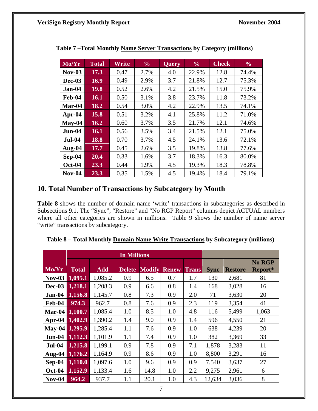| Mo/Yr         | <b>Total</b> | Write | $\frac{6}{6}$ | <b>Query</b> | $\frac{6}{6}$ | <b>Check</b> | $\frac{6}{6}$ |
|---------------|--------------|-------|---------------|--------------|---------------|--------------|---------------|
| $Nov-03$      | 17.3         | 0.47  | 2.7%          | 4.0          | 22.9%         | 12.8         | 74.4%         |
| $Dec-03$      | 16.9         | 0.49  | 2.9%          | 3.7          | 21.8%         | 12.7         | 75.3%         |
| Jan-04        | 19.8         | 0.52  | 2.6%          | 4.2          | 21.5%         | 15.0         | 75.9%         |
| <b>Feb-04</b> | <b>16.1</b>  | 0.50  | 3.1%          | 3.8          | 23.7%         | 11.8         | 73.2%         |
| Mar-04        | 18.2         | 0.54  | 3.0%          | 4.2          | 22.9%         | 13.5         | 74.1%         |
| Apr- $04$     | 15.8         | 0.51  | 3.2%          | 4.1          | 25.8%         | 11.2         | 71.0%         |
| $May-04$      | 16.2         | 0.60  | 3.7%          | 3.5          | 21.7%         | 12.1         | 74.6%         |
| <b>Jun-04</b> | <b>16.1</b>  | 0.56  | 3.5%          | 3.4          | 21.5%         | 12.1         | 75.0%         |
| <b>Jul-04</b> | 18.8         | 0.70  | 3.7%          | 4.5          | 24.1%         | 13.6         | 72.1%         |
| Aug-04        | 17.7         | 0.45  | 2.6%          | 3.5          | 19.8%         | 13.8         | 77.6%         |
| Sep-04        | 20.4         | 0.33  | 1.6%          | 3.7          | 18.3%         | 16.3         | 80.0%         |
| <b>Oct-04</b> | 23.3         | 0.44  | 1.9%          | 4.5          | 19.3%         | 18.3         | 78.8%         |
| <b>Nov-04</b> | 23.3         | 0.35  | 1.5%          | 4.5          | 19.4%         | 18.4         | 79.1%         |

**Table 7 –Total Monthly Name Server Transactions by Category (millions)** 

# **10. Total Number of Transactions by Subcategory by Month**

**Table 8** shows the number of domain name 'write' transactions in subcategories as described in Subsections 9.1. The "Sync", "Restore" and "No RGP Report" columns depict ACTUAL numbers where all other categories are shown in millions. Table 9 shows the number of name server "write" transactions by subcategory.

|               | <b>In Millions</b> |            |               |               |              |              |             |                |               |
|---------------|--------------------|------------|---------------|---------------|--------------|--------------|-------------|----------------|---------------|
|               |                    |            |               |               |              |              |             |                | <b>No RGP</b> |
| Mo/Yr         | <b>Total</b>       | <b>Add</b> | <b>Delete</b> | <b>Modify</b> | <b>Renew</b> | <b>Trans</b> | <b>Sync</b> | <b>Restore</b> | Report*       |
| $Nov-03$      | 1,095.1            | 1,085.2    | 0.9           | 6.5           | 0.7          | 1.7          | 130         | 2,681          | 81            |
| Dec-03        | 1,218.1            | 1,208.3    | 0.9           | 6.6           | 0.8          | 1.4          | 168         | 3,028          | 16            |
| <b>Jan-04</b> | 1,156.8            | 1,145.7    | 0.8           | 7.3           | 0.9          | 2.0          | 71          | 3,630          | 20            |
| Feb-04        | 974.3              | 962.7      | 0.8           | 7.6           | 0.9          | 2.3          | 119         | 3,354          | 41            |
| Mar-04        | 1,100.7            | 1,085.4    | 1.0           | 8.5           | 1.0          | 4.8          | 116         | 5,499          | 1,063         |
| Apr-04        | 1,402.9            | 1,390.2    | 1.4           | 9.0           | 0.9          | 1.4          | 596         | 4,550          | 21            |
|               | May-04 1,295.9     | 1,285.4    | 1.1           | 7.6           | 0.9          | 1.0          | 638         | 4,239          | 20            |
| <b>Jun-04</b> | 1,112.3            | 1,101.9    | 1.1           | 7.4           | 0.9          | 1.0          | 382         | 3,369          | 33            |
| <b>Jul-04</b> | 1,215.8            | 1,199.1    | 0.9           | 7.8           | 0.9          | 7.1          | 1,878       | 3,283          | 11            |
| Aug-04        | 1,176.2            | 1,164.9    | 0.9           | 8.6           | 0.9          | 1.0          | 8,800       | 3,291          | 16            |
| Sep-04        | 1,110.0            | 1,097.6    | 1.0           | 9.6           | 0.9          | 0.9          | 7,540       | 3,637          | 27            |
| <b>Oct-04</b> | 1,152.9            | 1,133.4    | 1.6           | 14.8          | 1.0          | 2.2          | 9,275       | 2,961          | 6             |
| $Nov-04$      | 964.2              | 937.7      | 1.1           | 20.1          | 1.0          | 4.3          | 12,634      | 3,036          | 8             |

**Table 8 – Total Monthly Domain Name Write Transactions by Subcategory (millions)**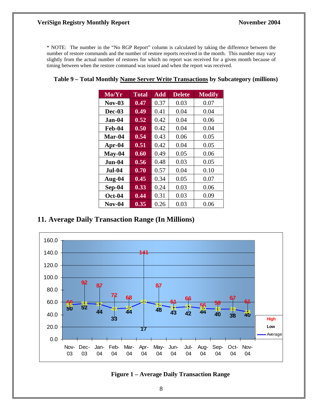#### **VeriSign Registry Monthly Report November 2004**

\* NOTE: The number in the "No RGP Report" column is calculated by taking the difference between the number of restore commands and the number of restore reports received in the month. This number may vary slightly from the actual number of restores for which no report was received for a given month because of timing between when the restore command was issued and when the report was received.

| Mo/Yr         | <b>Total</b> | <b>Add</b> | <b>Delete</b> | <b>Modify</b> |
|---------------|--------------|------------|---------------|---------------|
| $Nov-03$      | 0.47         | 0.37       | 0.03          | 0.07          |
| Dec-03        | 0.49         | 0.41       | 0.04          | 0.04          |
| Jan-04        | 0.52         | 0.42       | 0.04          | 0.06          |
| Feb-04        | 0.50         | 0.42       | 0.04          | 0.04          |
| Mar-04        | 0.54         | 0.43       | 0.06          | 0.05          |
| Apr-04        | 0.51         | 0.42       | 0.04          | 0.05          |
| May-04        | 0.60         | 0.49       | 0.05          | 0.06          |
| .Jun-04       | 0.56         | 0.48       | 0.03          | 0.05          |
| <b>Jul-04</b> | 0.70         | 0.57       | 0.04          | 0.10          |
| Aug-04        | 0.45         | 0.34       | 0.05          | 0.07          |
| Sep-04        | 0.33         | 0.24       | 0.03          | 0.06          |
| <b>Oct-04</b> | 0.44         | 0.31       | 0.03          | 0.09          |
| <b>Nov-04</b> | 0.35         | 0.26       | 0.03          | 0.06          |

# **Table 9 – Total Monthly Name Server Write Transactions by Subcategory (millions)**

# **11. Average Daily Transaction Range (In Millions)**



#### **Figure 1 – Average Daily Transaction Range**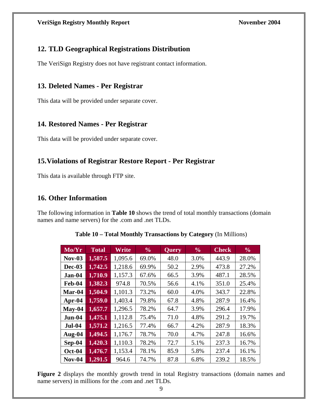# **12. TLD Geographical Registrations Distribution**

The VeriSign Registry does not have registrant contact information.

# **13. Deleted Names - Per Registrar**

This data will be provided under separate cover.

# **14. Restored Names - Per Registrar**

This data will be provided under separate cover.

# **15.Violations of Registrar Restore Report - Per Registrar**

This data is available through FTP site.

# **16. Other Information**

The following information in **Table 10** shows the trend of total monthly transactions (domain names and name servers) for the .com and .net TLDs.

| Mo/Yr         | <b>Total</b> | Write   | $\frac{0}{0}$ | <b>Query</b> | $\frac{0}{0}$ | <b>Check</b> | $\frac{0}{0}$ |
|---------------|--------------|---------|---------------|--------------|---------------|--------------|---------------|
| <b>Nov-03</b> | 1,587.5      | 1,095.6 | 69.0%         | 48.0         | 3.0%          | 443.9        | 28.0%         |
| $Dec-03$      | 1,742.5      | 1,218.6 | 69.9%         | 50.2         | 2.9%          | 473.8        | 27.2%         |
| Jan-04        | 1,710.9      | 1,157.3 | 67.6%         | 66.5         | 3.9%          | 487.1        | 28.5%         |
| Feb-04        | 1,382.3      | 974.8   | 70.5%         | 56.6         | 4.1%          | 351.0        | 25.4%         |
| Mar-04        | 1,504.9      | 1,101.3 | 73.2%         | 60.0         | 4.0%          | 343.7        | 22.8%         |
| Apr- $04$     | 1,759.0      | 1,403.4 | 79.8%         | 67.8         | 4.8%          | 287.9        | 16.4%         |
| $May-04$      | 1,657.7      | 1,296.5 | 78.2%         | 64.7         | 3.9%          | 296.4        | 17.9%         |
| <b>Jun-04</b> | 1,475.1      | 1,112.8 | 75.4%         | 71.0         | 4.8%          | 291.2        | 19.7%         |
| <b>Jul-04</b> | 1,571.2      | 1,216.5 | 77.4%         | 66.7         | 4.2%          | 287.9        | 18.3%         |
| Aug- $04$     | 1,494.5      | 1,176.7 | 78.7%         | 70.0         | 4.7%          | 247.8        | 16.6%         |
| $Sep-04$      | 1,420.3      | 1,110.3 | 78.2%         | 72.7         | 5.1%          | 237.3        | 16.7%         |
| <b>Oct-04</b> | 1,476.7      | 1,153.4 | 78.1%         | 85.9         | 5.8%          | 237.4        | 16.1%         |
| $Nov-04$      | 1,291.5      | 964.6   | 74.7%         | 87.8         | 6.8%          | 239.2        | 18.5%         |

**Table 10 – Total Monthly Transactions by Category** (In Millions)

Figure 2 displays the monthly growth trend in total Registry transactions (domain names and name servers) in millions for the .com and .net TLDs.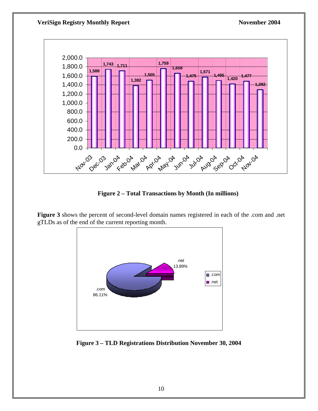

**Figure 2 – Total Transactions by Month (In millions)** 

**Figure 3** shows the percent of second-level domain names registered in each of the .com and .net gTLDs as of the end of the current reporting month.



 **Figure 3 – TLD Registrations Distribution November 30, 2004**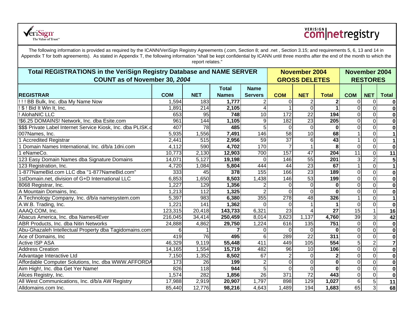

# **Comnetregistry**

The following information is provided as required by the ICANN/VeriSign Registry Agreements (.com, Section 8; and .net , Section 3.15; and requirements 5, 6, 13 and 14 in Appendix T for both agreements). As stated in Appendix T, the following information "shall be kept confidential by ICANN until three months after the end of the month to which the report relates."

| Total REGISTRATIONS in the VeriSign Registry Database and NAME SERVER<br>COUNT as of November 30, 2004 |            |                     |                     |                 | <b>November 2004</b><br><b>GROSS DELETES</b> | November 2004<br><b>RESTORES</b> |                 |                 |                |                         |
|--------------------------------------------------------------------------------------------------------|------------|---------------------|---------------------|-----------------|----------------------------------------------|----------------------------------|-----------------|-----------------|----------------|-------------------------|
|                                                                                                        |            |                     | <b>Total</b>        | <b>Name</b>     |                                              |                                  |                 |                 |                |                         |
| <b>REGISTRAR</b>                                                                                       | <b>COM</b> | <b>NET</b>          | <b>Names</b>        | <b>Servers</b>  | <b>COM</b>                                   | <b>NET</b>                       | <b>Total</b>    | <b>COM</b>      | <b>NET</b>     | <b>Total</b>            |
| !!!! BB Bulk, Inc. dba My Name Now                                                                     | 1,594      | 183                 | 1,777               |                 | $\Omega$                                     | 2                                |                 | $\mathbf 0$     | 0              | $\mathbf 0$             |
| ! \$ ! Bid It Win It, Inc.                                                                             | 1,891      | $\overline{214}$    | 2,105               |                 |                                              | $\overline{\mathsf{o}}$          |                 | $\overline{0}$  | $\mathbf 0$    | $\mathbf 0$             |
| ! AlohaNIC LLC                                                                                         | 653        | $\overline{95}$     | 748                 | 10              | $\overline{172}$                             | $\overline{22}$                  | 194             | $\overline{0}$  | $\mathbf 0$    | $\mathbf 0$             |
| !\$6.25 DOMAINS! Network, Inc. dba Esite.com                                                           | 961        | 144                 | 1,105               | 9               | 182                                          | $\overline{23}$                  | 205             | $\overline{0}$  | $\mathbf 0$    | $\bf{0}$                |
| \$\$\$ Private Label Internet Service Kiosk, Inc. dba PLISK.d                                          | 407        | $\overline{78}$     | 485                 |                 | 0                                            | $\Omega$                         | 0               | $\Omega$        | $\mathbf 0$    | $\mathbf 0$             |
| 007Names, Inc.                                                                                         | 5,935      | 1,556               | 7,491               | 146             | 58                                           | 10                               | 68              |                 | $\mathbf 0$    | $\mathbf{1}$            |
| 1 Accredited Registrar                                                                                 | 2,441      | 515                 | 2,956               | 59              | $\overline{37}$                              | 6                                | $\overline{43}$ |                 | $\pmb{0}$      | $\mathbf{1}$            |
| Domain Names International, Inc. d/b/a 1dni.com                                                        | 4,112      | 590                 | 4,702               | 170             |                                              |                                  | 8               | $\overline{0}$  | $\mathbf 0$    | $\mathbf 0$             |
| 1 eNameCo.                                                                                             | 10,773     | 2,130               | 12,903              | 700             | 157                                          | $\overline{47}$                  | 204             | $\overline{11}$ | 0              | 11                      |
| 123 Easy Domain Names dba Signature Domains                                                            | 14,071     | 5,127               | 19,198              | $\Omega$        | 146                                          | 55                               | 201             | $\mathbf{3}$    | $\overline{2}$ | 5                       |
| 123 Registration, Inc.                                                                                 | 4,720      | 1,084               | 5,804               | 444             | 44                                           | 23                               | 67              |                 | $\mathbf 0$    | $\mathbf 1$             |
| 1-877NameBid.com LLC dba "1-877NameBid.com"                                                            | 333        | 45                  | 378                 | 155             | 166                                          | $\overline{23}$                  | 189             | $\overline{0}$  | 0              | $\bf{0}$                |
| 1stDomain.net, division of G+D International LLC                                                       | 6,853      | 1,650               | 8,503               | 1,438           | 146                                          | $\overline{53}$                  | 199             | $\overline{0}$  | $\mathbf 0$    | $\mathbf 0$             |
| 8068 Registrar, Inc.                                                                                   | 1,227      | 129                 | 1,356               |                 |                                              | $\Omega$                         | 0               | $\overline{0}$  | $\mathbf 0$    | $\bf{0}$                |
| A Mountain Domains, Inc.                                                                               | 1,213      | 112                 | 1,325               |                 |                                              | $\overline{0}$                   | $\mathbf{0}$    | $\overline{0}$  | $\mathbf 0$    | $\bf{0}$                |
| A Technology Company, Inc. d/b/a namesystem.com                                                        | 5,397      | 983                 | 6,380               | 355             | 278                                          | 48                               | 326             |                 | $\mathbf 0$    | $\mathbf{1}$            |
| A.W.B. Trading, Inc.                                                                                   | 1,221      | 141                 | 1,362               | $\Omega$        | $\Omega$                                     |                                  |                 | $\overline{0}$  | $\overline{0}$ | $\mathbf 0$             |
| AAAQ.COM, Inc.                                                                                         | 123,315    | $\overline{20,}418$ | 143,733             | 6,321           | $\overline{23}$                              | $\overline{\mathbf{4}}$          | $\overline{27}$ | 15              |                | 16                      |
| Abacus America, Inc. dba Names4Ever                                                                    | 216,045    | 34,414              | 250,459             | 8,014           | 3,623                                        | 1,137                            | 4,760           | 39              | دن             | 42                      |
| ABR Products, Inc. dba Nitin Networks                                                                  | 24,888     | 4,862               | 29,750              | 1,224           | 616                                          | 135                              | 751             | $\overline{O}$  | $\mathbf 0$    | $\mathbf 0$             |
| Abu-Ghazaleh Intellectual Property dba Tagidomains.com                                                 | 6          |                     |                     | 0               |                                              | 0                                | 0               | $\overline{0}$  | 0              | $\mathbf 0$             |
| Ace of Domains, Inc                                                                                    | 419        | $\overline{76}$     | 495                 | 6               | 289                                          | $\overline{22}$                  | 311             | $\mathbf 0$     | $\pmb{0}$      | $\bf{0}$                |
| <b>Active ISP ASA</b>                                                                                  | 46,329     | 9,119               | 55,448              | 411             | 449                                          | 105                              | 554             | 5               | $\overline{2}$ | $\overline{\mathbf{7}}$ |
| <b>Address Creation</b>                                                                                | 14,165     | 1,554               | 15,719              | 482             | 96                                           | 10                               | 106             | $\mathbf 0$     | $\mathbf 0$    | $\mathbf 0$             |
| Advantage Interactive Ltd                                                                              | 7,150      | 1,352               | 8,502               | 67              |                                              | $\Omega$                         | 2               | $\mathbf 0$     | $\mathbf 0$    | $\bf{0}$                |
| Affordable Computer Solutions, Inc. dba WWW.AFFORDA                                                    | 173        | 26                  | 199                 | 2               |                                              | $\mathbf 0$                      | $\mathbf 0$     | $\mathbf 0$     | $\mathbf 0$    | $\mathbf 0$             |
| Aim High!, Inc. dba Get Yer Name!                                                                      | 826        | 118                 | 944                 | 5               | $\Omega$                                     | $\overline{\mathsf{o}}$          | $\mathbf{0}$    | $\overline{0}$  | $\mathbf 0$    | $\bf{0}$                |
| Alices Registry, Inc.                                                                                  | 1,574      | 282                 | 1,856               | $\overline{26}$ | 371                                          | $\overline{72}$                  | 443             | $\overline{0}$  | $\mathbf 0$    | $\overline{\mathbf{0}}$ |
| All West Communications, Inc. d/b/a AW Registry                                                        | 17,988     | 2,919               | $\overline{20,}907$ | 1,797           | 898                                          | 129                              | 1,027           | 6               | $\sqrt{5}$     | 11                      |
| Alldomains.com Inc.                                                                                    | 85,440     | 12,776              | 98,216              | 4,643           | 1,489                                        | 194                              | 1,683           | 65              | 3              | 68                      |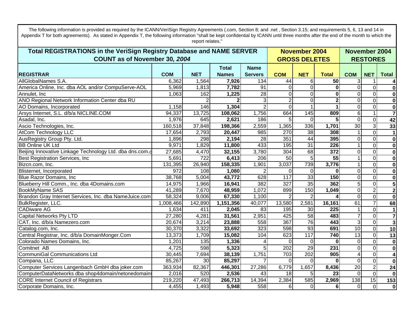| The following information is provided as required by the ICANN/VeriSign Registry Agreements (.com, Section 8; and .net, Section 3.15; and requirements 5, 6, 13 and 14 in<br>Appendix T for both agreements). As stated in Appendix T, the following information "shall be kept confidential by ICANN until three months after the end of the month to which the<br>report relates." |            |                  |              |                  |                  |                      |                  |                          |                |                         |  |  |  |
|--------------------------------------------------------------------------------------------------------------------------------------------------------------------------------------------------------------------------------------------------------------------------------------------------------------------------------------------------------------------------------------|------------|------------------|--------------|------------------|------------------|----------------------|------------------|--------------------------|----------------|-------------------------|--|--|--|
| Total REGISTRATIONS in the VeriSign Registry Database and NAME SERVER                                                                                                                                                                                                                                                                                                                |            |                  |              |                  |                  | November 2004        |                  |                          |                | November 2004           |  |  |  |
| COUNT as of November 30, 2004                                                                                                                                                                                                                                                                                                                                                        |            |                  |              |                  |                  | <b>GROSS DELETES</b> |                  |                          |                | <b>RESTORES</b>         |  |  |  |
|                                                                                                                                                                                                                                                                                                                                                                                      |            |                  | <b>Total</b> | <b>Name</b>      |                  |                      |                  |                          |                |                         |  |  |  |
| <b>REGISTRAR</b>                                                                                                                                                                                                                                                                                                                                                                     | <b>COM</b> | <b>NET</b>       | <b>Names</b> | <b>Servers</b>   | <b>COM</b>       | <b>NET</b>           | <b>Total</b>     | <b>COM</b>               | <b>NET</b>     | <b>Total</b>            |  |  |  |
| AllGlobalNames S.A.                                                                                                                                                                                                                                                                                                                                                                  | 6,362      | 1,564            | 7,926        | 134              | 44               | 6                    | 50               | 3                        | $\mathbf 1$    | $\vert$                 |  |  |  |
| America Online, Inc. dba AOL and/or CompuServe-AOL                                                                                                                                                                                                                                                                                                                                   | 5,969      | 1,813            | 7,782        | 91               | $\Omega$         | $\overline{0}$       | $\bf{0}$         | $\overline{0}$           | $\overline{0}$ | 0                       |  |  |  |
| Annulet, Inc                                                                                                                                                                                                                                                                                                                                                                         | 1,063      | 162              | 1,225        | $\overline{28}$  | $\overline{0}$   | 0                    | $\mathbf 0$      | $\mathbf 0$              | $\overline{0}$ | $\overline{\mathbf{o}}$ |  |  |  |
| ANO Regional Network Information Center dba RU                                                                                                                                                                                                                                                                                                                                       |            | $\overline{2}$   |              | 3                |                  | $\overline{0}$       | $\overline{2}$   | $\mathbf 0$              | $\overline{0}$ | $\overline{\mathbf{0}}$ |  |  |  |
| AO Domains, Incorporated                                                                                                                                                                                                                                                                                                                                                             | 1,158      | 146              | 1,304        | $\overline{2}$   | $\Omega$         | 1                    |                  | $\Omega$                 | $\overline{0}$ | $\mathbf{0}$            |  |  |  |
| Arsys Internet, S.L. d/b/a NICLINE.COM                                                                                                                                                                                                                                                                                                                                               | 94,337     | 13,725           | 108,062      | 1,756            | 664              | 145                  | 809              | $6\phantom{1}6$          | 1              | $\overline{\mathbf{z}}$ |  |  |  |
| Asadal, Inc.                                                                                                                                                                                                                                                                                                                                                                         | 1,976      | 645              | 2,621        | 186              | 5                | $\Omega$             | 5                | $\mathbf 0$              | $\overline{0}$ | 42                      |  |  |  |
| Ascio Technologies, Inc.                                                                                                                                                                                                                                                                                                                                                             | 160,518    | 37,848           | 198,366      | 2,559            | 1,365            | 336                  | 1,701            | $\overline{30}$          | دى             | 33                      |  |  |  |
| <b>AtCom Technology LLC</b>                                                                                                                                                                                                                                                                                                                                                          | 17,654     | 2,793            | 20,447       | 985              | 270              | $\overline{38}$      | 308              | $\mathbf{1}$             | $\overline{0}$ | $\overline{1}$          |  |  |  |
| AusRegistry Group Pty. Ltd.                                                                                                                                                                                                                                                                                                                                                          | 1,896      | 298              | 2,194        | 28               | 351              | 44                   | 395              | $\mathbf 0$              | $\overline{0}$ | 0                       |  |  |  |
| <b>BB Online UK Ltd</b>                                                                                                                                                                                                                                                                                                                                                              | 9,971      | 1,829            | 11,800       | 433              | 195              | 31                   | 226              |                          | $\overline{0}$ | 0                       |  |  |  |
| Beijing Innovative Linkage Technology Ltd. dba dns.com.c                                                                                                                                                                                                                                                                                                                             | 27,685     | 4,470            | 32,155       | 3,780            | 304              | 68                   | 372              | $\mathbf 0$              | $\overline{0}$ | 0                       |  |  |  |
| <b>Best Registration Services, Inc</b>                                                                                                                                                                                                                                                                                                                                               | 5,691      | $\overline{722}$ | 6,413        | $\overline{206}$ | 50               | 5                    | 55               | 1                        | $\overline{0}$ | $\mathbf{0}$            |  |  |  |
| Bizcn.com, Inc.                                                                                                                                                                                                                                                                                                                                                                      | 131,395    | 26,940           | 158,335      | 1,901            | 3,037            | 739                  | 3,776            | 1                        | $\overline{0}$ | 0                       |  |  |  |
| Blisternet, Incorporated                                                                                                                                                                                                                                                                                                                                                             | 972        | 108              | 1,080        |                  | $\Omega$         | $\Omega$             | $\bf{0}$         | $\mathbf 0$              | $\overline{0}$ | 0                       |  |  |  |
| <b>Blue Razor Domains, Inc.</b>                                                                                                                                                                                                                                                                                                                                                      | 38,768     | 5,004            | 43,772       | 628              | 117              | 33                   | 150              | $\mathbf 0$              | $\Omega$       | 0                       |  |  |  |
| Blueberry Hill Comm., Inc. dba 4Domains.com                                                                                                                                                                                                                                                                                                                                          | 14,975     | 1,966            | 16,941       | 382              | $\overline{327}$ | $\overline{35}$      | 362              | $\overline{5}$           | $\overline{0}$ | $\overline{5}$          |  |  |  |
| BookMyName SAS                                                                                                                                                                                                                                                                                                                                                                       | 41,289     | 7,670            | 48,959       | 1,072            | 899              | 150                  | 1,049            | 0                        | $\overline{2}$ | $\mathbf{2}$            |  |  |  |
| Brandon Gray Internet Services, Inc. dba NameJuice.com                                                                                                                                                                                                                                                                                                                               | 58,324     | 9,006            | 67,330       | 1,100            |                  | $\overline{2}$       |                  | $\Omega$                 | $\overline{0}$ | 0                       |  |  |  |
| BulkRegister, LLC.                                                                                                                                                                                                                                                                                                                                                                   | 1,008,466  | 142,890          | 1,151,356    | 40,077           | 13,580           | 2,581                | 16,161           | 61                       | $\overline{7}$ | 68                      |  |  |  |
| <b>CADiware AG</b>                                                                                                                                                                                                                                                                                                                                                                   | 1,634      | 411              | 2,045        | 83               | 195              | $\overline{30}$      | $\overline{225}$ | 1                        | $\overline{0}$ | $\vert$ 1               |  |  |  |
| Capital Networks Pty LTD                                                                                                                                                                                                                                                                                                                                                             | 27,280     | 4,281            | 31,561       | 2,951            | 425              | $\overline{58}$      | 483              | $\overline{7}$           | $\overline{0}$ | $\overline{7}$          |  |  |  |
| CAT, Inc. d/b/a Namezero.com                                                                                                                                                                                                                                                                                                                                                         | 20,674     | 3,214            | 23,888       | 558              | 367              | $\overline{76}$      | 443              | 3                        | $\overline{0}$ | 3                       |  |  |  |
| Catalog.com, Inc.                                                                                                                                                                                                                                                                                                                                                                    | 30,370     | 3,322            | 33,692       | 323              | 598              | 93                   | 691              | $\overline{10}$          | $\overline{0}$ | 10                      |  |  |  |
| Central Registrar, Inc. d/b/a DomainMonger.Com                                                                                                                                                                                                                                                                                                                                       | 13,373     | 1,709            | 15,082       | 104              | 623              | 117                  | 740              | 13                       | $\overline{0}$ | 13                      |  |  |  |
| Colorado Names Domains, Inc.                                                                                                                                                                                                                                                                                                                                                         | 1,201      | 135              | 1,336        | $\overline{4}$   | $\Omega$         | 0                    | $\bf{0}$         | $\mathbf 0$              | $\overline{0}$ | $\mathbf{0}$            |  |  |  |
| Comitnet AB                                                                                                                                                                                                                                                                                                                                                                          | 4,725      | 598              | 5,323        | 5                | $\overline{202}$ | 29                   | 231              | $\mathbf 0$              | $\Omega$       | $\overline{\mathbf{o}}$ |  |  |  |
| <b>CommuniGal Communications Ltd</b>                                                                                                                                                                                                                                                                                                                                                 | 30,445     | 7,694            | 38,139       | 1,751            | 703              | 202                  | 905              | $\overline{\mathcal{A}}$ | $\Omega$       | $\vert$                 |  |  |  |
| Compana, LLC                                                                                                                                                                                                                                                                                                                                                                         | 85,267     | 30               | 85,297       |                  | $\Omega$         | $\Omega$             | $\Omega$         | $\Omega$                 | $\Omega$       | 0                       |  |  |  |
| Computer Services Langenbach GmbH dba joker.com                                                                                                                                                                                                                                                                                                                                      | 363,934    | 82,367           | 446,301      | 27,286           | 6,779            | 1,657                | 8,436            | 20                       | $\overline{2}$ | 24                      |  |  |  |
| ComputerDataNetworks dba shop4domain/netonedomains                                                                                                                                                                                                                                                                                                                                   | 2,016      | 520              | 2,536        | 43               | 18               | 5                    | 23               | $\Omega$                 | $\Omega$       | 0                       |  |  |  |
| <b>CORE Internet Council of Registrars</b>                                                                                                                                                                                                                                                                                                                                           | 219,220    | 47,493           | 266,713      | 14,394           | 2,384            | 585                  | 2,969            | 138                      | 15             | 153                     |  |  |  |
| Corporate Domains, Inc.                                                                                                                                                                                                                                                                                                                                                              | 4,455      | 1,493            | 5,948        | 558              | $6 \mid$         | $\mathbf 0$          | 6                | $\Omega$                 | $\Omega$       | 0                       |  |  |  |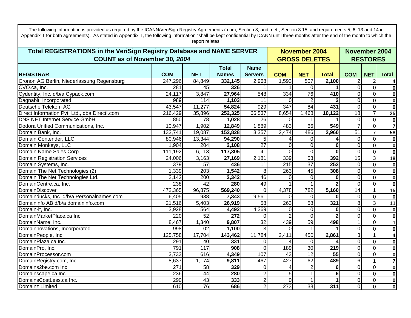The following information is provided as required by the ICANN/VeriSign Registry Agreements (.com, Section 8; and .net , Section 3.15; and requirements 5, 6, 13 and 14 in Appendix T for both agreements). As stated in Appendix T, the following information "shall be kept confidential by ICANN until three months after the end of the month to which the report relates."

| <b>Total REGISTRATIONS in the VeriSign Registry Database and NAME SERVER</b> |                  |                 |                  |                 |                      | <b>November 2004</b> |                  |                 | November 2004           |                         |
|------------------------------------------------------------------------------|------------------|-----------------|------------------|-----------------|----------------------|----------------------|------------------|-----------------|-------------------------|-------------------------|
| COUNT as of November 30, 2004                                                |                  |                 |                  |                 | <b>GROSS DELETES</b> | <b>RESTORES</b>      |                  |                 |                         |                         |
|                                                                              |                  |                 | <b>Total</b>     | <b>Name</b>     |                      |                      |                  |                 |                         |                         |
| <b>REGISTRAR</b>                                                             | <b>COM</b>       | <b>NET</b>      | <b>Names</b>     | <b>Servers</b>  | <b>COM</b>           | <b>NET</b>           | <b>Total</b>     | <b>COM</b>      | <b>NET</b>              | <b>Total</b>            |
| Cronon AG Berlin, Niederlassung Regensburg                                   | 247,296          | 84,849          | 332,145          | 2,968           | 1,593                | 507                  | 2,100            | $\overline{2}$  | $\overline{2}$          | 4                       |
| CVO.ca, Inc.                                                                 | 281              | 45              | 326              |                 |                      | $\Omega$             |                  | $\overline{O}$  | $\pmb{0}$               | $\bf{0}$                |
| Cydentity, Inc. d/b/a Cypack.com                                             | 24,117           | 3,847           | 27,964           | 548             | $\frac{1}{334}$      | 76                   | 410              | $\overline{0}$  | $\overline{0}$          | $\overline{\mathbf{0}}$ |
| Dagnabit, Incorporated                                                       | 989              | 114             | 1,103            | 11              |                      | $\overline{2}$       | $\mathbf{2}$     | $\mathbf 0$     | $\overline{\mathsf{o}}$ | $\mathbf 0$             |
| Deutsche Telekom AG                                                          | 43,547           | 11,277          | 54,824           | 929             | $\overline{347}$     | $\overline{84}$      | 431              | $\mathbf 0$     | $\overline{0}$          | $\mathbf 0$             |
| Direct Information Pvt. Ltd., dba Directl.com                                | 216,429          | 35,896          | 252,325          | 66,537          | 8,654                | 1,468                | 10,122           | 18              | $\overline{7}$          |                         |
| <b>DNS NET Internet Service GmbH</b>                                         | 850              | 178             | 1,028            | 26              |                      |                      |                  | $\overline{0}$  | $\mathbf 0$             | $\frac{25}{0}$          |
| Dodora Unified Communications, Inc.                                          | 10,947           | 1,902           | 12,849           | 1,889           | 483                  | 66                   | 549              | $\overline{7}$  | $\overline{0}$          | $\overline{\mathbf{7}}$ |
| Domain Bank, Inc.                                                            | 133,741          | 19,087          | 152,828          | 3,357           | 2,474                | 486                  | 2,960            | 51              | $\overline{7}$          | 58                      |
| Domain Contender, LLC                                                        | 80,946           | 13,344          | 94,290           |                 |                      | $\Omega$             |                  | $\overline{0}$  | $\overline{0}$          | $\bf{0}$                |
| Domain Monkeys, LLC                                                          | 1,904            | 204             | 2,108            | $\overline{27}$ |                      | $\overline{0}$       | 0                | $\overline{0}$  | $\mathbf 0$             | $\bf{0}$                |
| Domain Name Sales Corp.                                                      | 111,192          | 6,113           | 117,305          | 41              |                      | $\overline{0}$       | $\mathbf{0}$     | $\overline{0}$  | $\mathbf 0$             | $\overline{\mathbf{0}}$ |
| <b>Domain Registration Services</b>                                          | 24,006           | 3,163           | 27,169           | 2,181           | 339                  | 53                   | 392              | 15              | $\overline{3}$          | $\overline{18}$         |
| Domain Systems, Inc.                                                         | 379              | $\overline{57}$ | 436              | 11              | $\overline{215}$     | $\overline{37}$      | 252              | $\overline{0}$  | $\pmb{0}$               | $\overline{\mathbf{0}}$ |
| Domain The Net Technologies (2)                                              | 1,339            | 203             | 1,542            | 8               | 263                  | 45                   | 308              | $\overline{0}$  | $\mathbf 0$             | $\overline{\mathbf{0}}$ |
| Domain The Net Technologies Ltd.                                             | 2,142            | 200             | 2,342            | $\overline{46}$ |                      | $\overline{0}$       | $\mathbf{0}$     | $\overline{0}$  | $\mathbf 0$             | $\overline{\mathbf{0}}$ |
| DomainCentre.ca, Inc.                                                        | 238              | 42              | 280              | 49              |                      |                      |                  | $\overline{0}$  | $\mathbf 0$             | $\overline{\mathbf{0}}$ |
| DomainDiscover                                                               | 472,365          | 96,875          | 569,240          | $\Omega$        | 4,378                | 782                  | 5,160            | $\overline{14}$ |                         | $\overline{15}$         |
| Domainducks, Inc. d/b/a Personalnames.com                                    | 6,405            | 938             | 7,343            | 9,561           |                      | $\overline{0}$       | $\bf{0}$         | $\overline{O}$  | $\overline{0}$          | $\mathbf 0$             |
| Domaininfo AB d/b/a domaininfo.com                                           | 21,516           | 5,403           | 26,919           | 58              | 263                  | 58                   | 321              | $\infty$        | 3                       | 11                      |
| Domain-it, Inc.                                                              | 3,928            | 564             | 4,492            | 4,369           |                      | $\pmb{0}$            | 0                | $\mathbf 0$     | $\mathbf 0$             | $\bf{0}$                |
| DomainMarketPlace.ca Inc                                                     | 220              | 52              | $\overline{272}$ | 0               |                      | $\overline{0}$       | $\mathbf{2}$     | $\mathbf 0$     | $\mathbf 0$             | $\bf{0}$                |
| DomainName, Inc.                                                             | 8,467            | 1,340           | 9,807            | $\overline{32}$ | 439                  | 59                   | 498              |                 | $\mathbf 0$             | $\mathbf{1}$            |
| Domainnovations, Incorporated                                                | 998              | 102             | 1,100            | 3               | $\Omega$             |                      |                  | $\overline{0}$  | $\mathbf 0$             | $\bf{0}$                |
| DomainPeople, Inc.                                                           | 125,758          | 17,704          | 143,462          | 11,784          | 2,411                | 450                  | 2,861            | $\mathbf{3}$    | $\mathbf{1}$            | 4                       |
| DomainPlaza.ca Inc.                                                          | 291              | 40              | 331              | $\Omega$        |                      | $\Omega$             |                  | $\mathbf 0$     | $\mathbf 0$             | $\bf{0}$                |
| DomainPro, Inc.                                                              | 791              | 117             | 908              | $\Omega$        | 189                  | 30                   | 219              | $\overline{0}$  | $\mathbf 0$             | $\mathbf 0$             |
| DomainProcessor.com                                                          | 3,733            | 616             | 4,349            | 107             | 43                   | $\overline{12}$      | 55               | $\mathbf 0$     | $\pmb{0}$               | $\bf{0}$                |
| DomainRegistry.com, Inc.                                                     | 8,637            | 1,174           | 9,811            | 467             | 427                  | 62                   | 489              | $6\phantom{1}$  | $\mathbf{1}$            | $\overline{7}$          |
| Domains2be.com Inc.                                                          | $\overline{271}$ | $\overline{58}$ | 329              | $\Omega$        |                      | $\overline{2}$       | $6\phantom{a}$   | $\overline{0}$  | $\mathbf 0$             | $\bf{0}$                |
| Domainscape.ca Inc                                                           | 236              | $\overline{44}$ | 280              | 2               | 5                    | $\mathbf{1}$         | 6                | $\overline{0}$  | $\overline{0}$          | $\bf{0}$                |
| DomainsCostLess.ca Inc.                                                      | 290              | 43              | 333              | $\overline{2}$  |                      | 1                    |                  | $\mathbf 0$     | $\mathbf 0$             | $\bf{0}$                |
| Domainz Limited                                                              | 610              | 76              | 686              | $\overline{2}$  | 273                  | $\overline{38}$      | $\overline{311}$ | $\overline{0}$  | $\overline{0}$          | $\mathbf 0$             |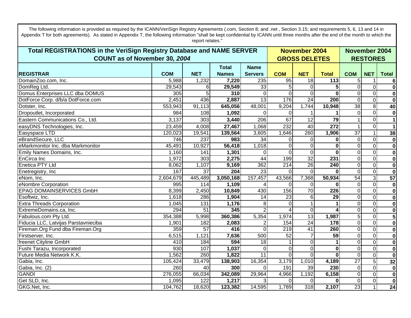**REGISTRAR COM NETTotal NamesName Servers COM NET Total COM NET Total November 2004 GROSS DELETESTotal REGISTRATIONS in the VeriSign Registry Database and NAME SERVER COUNT as of November 30***, 2004* **November 2004 RESTORES**Appendix T for both agreements). As stated in Appendix T, the following information "shall be kept confidential by ICANN until three months after the end of the month to which the report relates." DomainZoo.com, Inc. 5,988 1,232 **7,220** 235 95 18 **113** 5 1 **6**DomReg Ltd. 29,543 6 **29,549** 33 5 0 **5**0 $\overline{0}$ **0Domus Enterprises LLC dba DOMUS** 305 5 310 0 000 0 **0**0 $\overline{0}$ **0**DotForce Corp. d/b/a DotForce.com 2,451 436 **2,887** 13 176 24 **200**  $\Omega$  $\overline{0}$ **0**Dotster, Inc. 553,943 91,113 **645,056** 48,001 9,204 1,744 **10,948** 38 8 **40**Dropoutlet, Incorporated 984 108 **1,092** 0 01 **1** 0  $\overline{0}$ **0**Eastern Communications Co., Ltd. 3,137 303 **3,440** 206 67 12 **79** 1 0 **1** easyDNS Technologies, Inc. 23,459 4,008 **27,467** 1,068 232 40 **272** 1 0 **1** Easyspace LTD 120,023 19,541 **139,564** 3,605 1,646 260 **1,906** 37 1 **38** eBrandSecure, LLC 746 237 **983** 34 0 0 **0** $\Omega$  $\Omega$ **0**eMarkmonitor Inc. dba Markmonitor 45,491 10,927 **56,418** 1,018 0 0 **0** $\overline{0}$ 0**0**Emily Names Domains, Inc. 1,160 141 **1,301** 0 00 **0** $\Omega$  $\overline{0}$ **0**EnCirca Inc 1,972 303 **2,275** 44 199 32 **231** 00**0**Enetica PTY Ltd 8,062 1,107 **9,169** 362 214 26 **240**  $\Omega$  $\Omega$ **0**Enetregistry, Inc 167 | 37 | **204 | 23 | 0 |** 0 **0** $\Omega$  $\Omega$ **0**eNom, Inc. 2,604,679 445,489 **3,050,168** 157,457 43,566 7,368 **50,934** 54 3 **57**eNombre Corporation **1995** 114 **1,109** 12 0 0 **0**0 $\Omega$ **0**EPAG DOMAINSERVICES GmbH 8,399 2,450 **10,849** 430 156 70 **226**  $\Omega$  $\Omega$ **0**Esoftwiz, Inc. 1,618 286 **1,904** 14 23 6 **29**  $\Omega$  $\overline{0}$ **0**Extra Threads Corporation 1,045 131 **1,176** 8 01 **1** 0  $\overline{0}$ **0**ExtremeDomains.ca, Inc. 294 51 **345** 2 40 **4**0 $\Omega$ **0**Fabulous.com Pty Ltd. 354,388 5,998 **360,386** 5,354 1,974 13 **1,987** 5 $\Omega$ **5**Fiducia LLC, Latvijas Parstavnieciba 1,901 182 **2,083** 2 154 24 **178**  $\overline{0}$  $\overline{0}$ **0**Fireman.Org Fund dba Fireman.Org 359 57 **416** 0 219 41 **260**  $\Omega$  $\Omega$ **0**Firstserver, Inc. 6,515 1,121 **7,636** 500 52 7 **59**  $\Omega$  $\Omega$ **0**freenet Cityline GmbH 410 184 **594** 18 1 0 **1** 0 0**0**Fushi Tarazu, Incorporated 930 107 **1,037** 0 00 **0** $\Omega$  $\overline{0}$ **0**Future Media Network K.K. 1,562 260 **1,822** 11 0 0 **0** $\Omega$ 0**0**Gabia, Inc. 105,424 33,479 **138,903** 16,354 3,179 1,010 **4,189** 27 5 **32**Gabia, Inc. (2) 260 40 **300** 0 191 39 **230**  $\Omega$ 0**0**GANDI 276,055 66,034 **342,089** 29,964 4,966 1,192 **6,158**  $\Omega$  $\overline{0}$ **0**Get SLD, Inc. 1,095 122 **1,217** 3 00 **0** $\overline{0}$ 0**0**GKG.Net, Inc. 104,762 18,620 **123,382** 14,595 1,789 318 **2,107** 23 1 **24**

The following information is provided as required by the ICANN/VeriSign Registry Agreements (.com, Section 8; and .net , Section 3.15; and requirements 5, 6, 13 and 14 in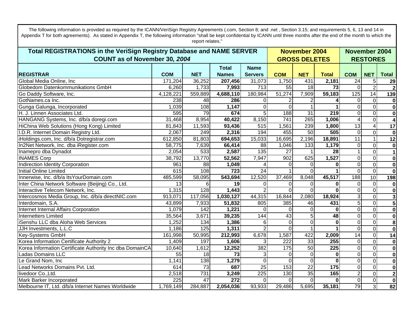The following information is provided as required by the ICANN/VeriSign Registry Agreements (.com, Section 8; and .net , Section 3.15; and requirements 5, 6, 13 and 14 in Appendix T for both agreements). As stated in Appendix T, the following information "shall be kept confidential by ICANN until three months after the end of the month to which the report relates."

|                                                          | <b>Total REGISTRATIONS in the VeriSign Registry Database and NAME SERVER</b><br><b>November 2004</b> |                 |                  |                 | November 2004    |                         |                  |                |                         |                                      |
|----------------------------------------------------------|------------------------------------------------------------------------------------------------------|-----------------|------------------|-----------------|------------------|-------------------------|------------------|----------------|-------------------------|--------------------------------------|
| COUNT as of November 30, 2004                            |                                                                                                      |                 |                  |                 |                  | <b>GROSS DELETES</b>    |                  |                | <b>RESTORES</b>         |                                      |
|                                                          |                                                                                                      |                 | <b>Total</b>     | <b>Name</b>     |                  |                         |                  |                |                         |                                      |
| <b>REGISTRAR</b>                                         | <b>COM</b>                                                                                           | <b>NET</b>      | <b>Names</b>     | <b>Servers</b>  | <b>COM</b>       | <b>NET</b>              | <b>Total</b>     | <b>COM</b>     | <b>NET</b>              | <b>Total</b>                         |
| Global Media Online, Inc                                 | 171,204                                                                                              | 36,252          | 207,456          | 31,073          | 1,750            | 431                     | 2,181            | 24             | 5                       | 29                                   |
| Globedom Datenkommunikations GmbH                        | 6,260                                                                                                | 1,733           | 7,993            | 713             | 55               | 18                      | 73               | $\Omega$       | $\overline{2}$          | $\overline{\mathbf{2}}$              |
| Go Daddy Software, Inc.                                  | 4,128,221                                                                                            | 559,889         | 4,688,110        | 180,984         | 51,274           | 7,909                   | 59,183           | 125            | 14                      | 139                                  |
| GotNames.ca Inc.                                         | 238                                                                                                  | 48              | 286              | $\Omega$        |                  | 2                       |                  | $\Omega$       | $\overline{0}$          | $\boldsymbol{0}$                     |
| Gunga Galunga, Incorporated                              | 1,039                                                                                                | 108             | 1,147            | $\Omega$        | $\Omega$         |                         |                  | $\Omega$       | $\overline{0}$          | $\overline{\mathbf{0}}$              |
| H. J. Linnen Associates Ltd.                             | 595                                                                                                  | 79              | 674              | 5               | 188              | $\overline{31}$         | $\overline{219}$ | $\Omega$       | $\overline{0}$          | $\overline{\mathbf{0}}$              |
| HANGANG Systems, Inc. d/b/a doregi.com                   | 31,468                                                                                               | 8,954           | 40,422           | 8,150           | $\overline{741}$ | 265                     | 1,006            |                | $\overline{0}$          | $\overline{\mathbf{4}}$              |
| HiChina Web Solutions (Hong Kong) Limited                | 81,843                                                                                               | 11,593          | 93,436           | 515             | 1,561            | 239                     | 1,800            | 13             | $\overline{4}$          | 17                                   |
| I.D.R. Internet Domain Registry Ltd.                     | 2,067                                                                                                | 249             | 2,316            | 194             | 455              | $\overline{50}$         | 505              | $\overline{0}$ | $\overline{O}$          | $\overline{\mathbf{0}}$              |
| iHoldings.com, Inc. d/b/a Dotregistrar.com               | 612,850                                                                                              | 81,803          | 694,653          | 15,033          | 16,695           | 2,196                   | 18,891           | 11             | $\mathbf{1}$            | 12                                   |
| In2Net Network, Inc. dba iRegister.com                   | 58,775                                                                                               | 7,639           | 66,414           | 88              | 1,046            | 133                     | 1,179            | $\Omega$       | $\overline{0}$          | $\overline{\mathbf{0}}$              |
| Inamepro dba Dynadot                                     | 2,054                                                                                                | 533             | 2,587            | 135             | $\overline{27}$  |                         | $\overline{28}$  |                | $\overline{0}$          | $\overline{1}$                       |
| <b>INAMES Corp</b>                                       | 38,792                                                                                               | 13,770          | 52,562           | 7,947           | 902              | 625                     | 1,527            | $\Omega$       | $\overline{0}$          | $\overline{\mathbf{0}}$              |
| <b>Indirection Identity Corporation</b>                  | 961                                                                                                  | $\overline{88}$ | 1,049            |                 | $\Omega$         | $\mathbf 0$             | $\bf{0}$         | $\Omega$       | $\overline{0}$          | $\overline{\mathbf{0}}$              |
| <b>Initial Online Limited</b>                            | 615                                                                                                  | 108             | 723              | $\overline{24}$ |                  | $\Omega$                |                  | $\Omega$       | $\overline{0}$          | $\overline{\mathbf{0}}$              |
| Innerwise, Inc. d/b/a ItsYourDomain.com                  | 485,599                                                                                              | 58,095          | 543,694          | 12,520          | 37,469           | 8,048                   | 45,517           | 188            | 10                      | 198                                  |
| Inter China Network Software (Beijing) Co., Ltd.         | $\overline{13}$                                                                                      | 6               | 19               | $\Omega$        | ΩI               | 0                       | 0                | $\Omega$       | $\overline{0}$          | $\boldsymbol{0}$                     |
| Interactive Telecom Network, Inc.                        | 1,315                                                                                                | 128             | 1,443            |                 | $\Omega$         | $\Omega$                | U                | $\overline{0}$ | $\overline{0}$          | $\overline{\mathbf{0}}$              |
| Intercosmos Media Group, Inc. d/b/a directNIC.com        | 913,071                                                                                              | 117,056         | 1,030,127        | 44,315          | 16,844           | 2,080                   | 18,924           | $\overline{3}$ | $\overline{0}$          | $\overline{\mathbf{3}}$              |
| Interdomain, S.A.                                        | 43,899                                                                                               | 7,933           | 51,832           | 805             | 385              | 46                      | 431              | 5 <sup>1</sup> | $\mathbf 0$             | $\overline{\overline{\overline{5}}}$ |
| Internet Internal Affairs Corporation                    | 1,079                                                                                                | 142             | 1,221            | $\Omega$        | $\Omega$         | $\mathbf 0$             | $\bf{0}$         | $\Omega$       | $\pmb{0}$               | $\pmb{0}$                            |
| Internetters Limited                                     | 35,564                                                                                               | 3,671           | 39,235           | 144             | 43               | 5                       | 48               | 0              | $\pmb{0}$               | $\pmb{0}$                            |
| iSenshu LLC dba Aloha Web Services                       | 1,252                                                                                                | 134             | 1,386            | 6 <sup>1</sup>  | $\Omega$         | $\overline{\mathsf{o}}$ | $\mathbf 0$      | $\mathbf 0$    | $\mathbf 0$             | $\overline{\mathbf{8}}$              |
| JJH Investments, L.L.C                                   | 1,186                                                                                                | $\frac{1}{25}$  | 1,311            | $\overline{2}$  | $\Omega$         | 1                       | 1                | $\Omega$       | $\mathbf 0$             | $\pmb{0}$                            |
| <b>Key-Systems GmbH</b>                                  | 161,998                                                                                              | 50,995          | 212,993          | 6,678           | 1,587            | 422                     | 2,009            | 14             | $\pmb{0}$               | 14                                   |
| Korea Information Certificate Authority 2                | 1,409                                                                                                | 197             | 1,606            | $\overline{3}$  | $\overline{222}$ | $\overline{33}$         | $\overline{255}$ | $\overline{0}$ | $\mathbf 0$             | $\mathbf 0$                          |
| Korea Information Certificate Authority Inc dba DomainCA | 10,640                                                                                               | 1,612           | 12,252           | 382             | 175              | $\overline{50}$         | $\overline{225}$ | $\Omega$       | $\overline{0}$          | $\mathbf 0$                          |
| <b>Ladas Domains LLC</b>                                 | 55                                                                                                   | 18              | $\overline{73}$  | $\overline{3}$  | $\Omega$         | $\mathbf 0$             | 0                | $\Omega$       | $\pmb{0}$               | $\pmb{0}$                            |
| Le Grand Nom, Inc.                                       | 1,141                                                                                                | 138             | 1,279            | $\Omega$        | $\Omega$         | $\overline{0}$          | $\bf{0}$         | $\Omega$       | $\overline{\mathsf{o}}$ | $\pmb{0}$                            |
| Lead Networks Domains Pvt. Ltd.                          | 614                                                                                                  | 73              | 687              | $\overline{25}$ | 153              | $\overline{22}$         | $\frac{1}{175}$  | $\Omega$       | $\overline{\mathsf{o}}$ | $\pmb{0}$                            |
| livedoor Co., Ltd.                                       | 2,518                                                                                                | 731             | 3,249            | 225             | 130              | $\overline{35}$         | 165              | $\overline{2}$ | $\overline{\mathsf{o}}$ | $\boldsymbol{2}$                     |
| Mark Barker Incorporated                                 | $\overline{225}$                                                                                     | $\overline{47}$ | $\overline{272}$ | $\Omega$        | ΩI               | $\Omega$                | $\bf{0}$         | $\overline{0}$ | $\overline{0}$          | $\overline{\mathbf{0}}$              |
| Melbourne IT, Ltd. d/b/a Internet Names Worldwide        | 1,769,149                                                                                            | 284,887         | 2,054,036        | 93,933          | 29,486           | 5,695                   | 35,181           | 79             | $\overline{3}$          | $\overline{82}$                      |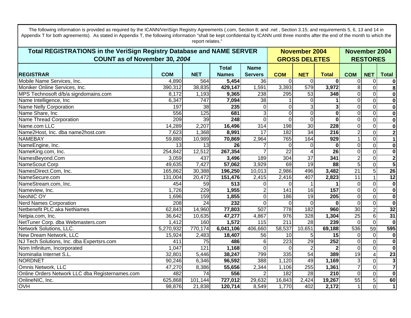**REGISTRAR COM NETTotal NamesName Servers COM NET Total COM NET Total November 2004 GROSS DELETESTotal REGISTRATIONS in the VeriSign Registry Database and NAME SERVER COUNT as of November 30***, 2004* **November 2004 RESTORES**Appendix T for both agreements). As stated in Appendix T, the following information "shall be kept confidential by ICANN until three months after the end of the month to which the report relates." Mobile Name Services, Inc. 4,890 564 **5,454** 36 0 0 **0** $\Omega$  $\Omega$ **0**Moniker Online Services, Inc. 390,312 38,835 **429,147** 1,591 3,393 579 **3,972** 8 $\overline{0}$ **8**MPS Technosoft d/b/a signdomains.com 8,172 1,193 **9,365** 238 295 53 **348** 0 $\Omega$ **0**Name Intelligence, Inc 6,347 747 **7,094** 38 1 0 **1** 0 0**0**Name Nelly Corporation 197 38 **235** 0 03 **3** $\Omega$  $\Omega$ **0**Name Share, Inc 556 125 **681** 3 00 **0** $\overline{0}$ 0**0**Name Thread Corporation 209 39 **248** 0 00 **0**0 $\Omega$ **0**Name.com LLC 14,289 2,207 **16,496** 314 198 30 **228**  $\overline{0}$ 0**0**Name2Host, Inc. dba name2host.com 7,623 1,368 **8,991** 17 182 34 **216** 2  $\Omega$ **2**NAMEBAY 59,880 10,989 **70,869** 2,964 765 164 **929** 1 0 **1** NameEngine, Inc. 13 13 **26** 7 00 **0** $\Omega$ 0**0**NameKing.com, Inc. 254,842 12,512 **267,354** 7 22 4 **26**  $\overline{0}$ 0**0**NamesBeyond.Com 3,059 437 **3,496** 189 304 37 **341** 2 $\overline{0}$ **2**NameScout Corp 49,635 7,427 **57,062** 3,929 69 19 **88** 50**5**NamesDirect.Com, Inc. 165,862 30,388 **196,250** 10,013 2,986 496 **3,482** 21 5 **26** NameSecure.com 131,004 20,472 **151,476** 2,415 2,416 407 **2,823** 11 1 **12** NameStream.com, Inc. 454 59 **513** 0 01 **1** 0  $\Omega$ **0**Nameview, Inc. 1,726 229 **1,955** 2 141 16 **157** 00**0**NeoNIC OY 1,696 159 **1,855** 0 186 19 **205** 0 $\Omega$ **0**Nerd Names Corporation **208** 24 **232** 0 000 **0** $\Omega$  $\Omega$ **0**Netbenefit PLC aka NetNames 62,843 14,960 **77,803** 507 778 182 **960** 30 2 **32** Netpia.com, Inc. 36,642 10,635 **47,277** 4,867 976 328 **1,304** 25 6 **31** NetTuner Corp. dba Webmasters.com 1,412 160 **1,572** 115 211 28 **239** 0 $\Omega$ **0**Network Solutions, LLC. 5,270,932 770,174 **6,041,106** 406,660 58,537 10,651 **69,188** 536 59 **595** New Dream Network, LLC 15,924 2,483 **18,407** 56 10 5 **15**  $\Omega$  $\Omega$ **0**NJ Tech Solutions, Inc. dba Expertsrs.com 411 75 **486** 6 223 29 **252**  $\Omega$  $\Omega$ **0**Nom Infinitum, Incorporated **1,047** 121 1,168 0 0 2 **2**0 $\Omega$ **0**Nominalia Internet S.L. 32,801 5,446 **38,247** 799 335 54 **389** 19 4 **23** NORDNET 90,246 6,346 **96,592** 388 1,120 49 **1,169** 30**3**Omnis Network, LLC 47,270 8,386 **55,656** 2,344 1,106 255 **1,361** 7 $\Omega$ **7**Online Orders Network LLC dba Registernames.com | 482 74 556 2 182 28 210 00**0**OnlineNIC, Inc. 625,868 101,144 **727,012** 29,632 16,843 2,424 **19,267** 55 5 **60** OVH 98,876 21,838 **120,714** 8,549 1,770 402 **2,172** 1 0 **1**

The following information is provided as required by the ICANN/VeriSign Registry Agreements (.com, Section 8; and .net , Section 3.15; and requirements 5, 6, 13 and 14 in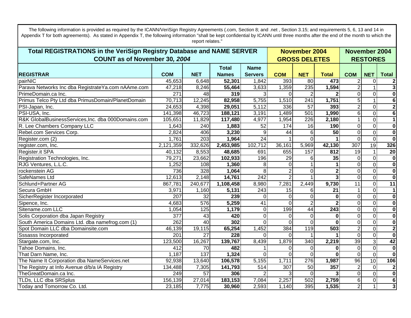**REGISTRAR COM NETTotal NamesName Servers COM NET Total COM NET Total November 2004 GROSS DELETESTotal REGISTRATIONS in the VeriSign Registry Database and NAME SERVER COUNT as of November 30***, 2004* **November 2004 RESTORES**Appendix T for both agreements). As stated in Appendix T, the following information "shall be kept confidential by ICANN until three months after the end of the month to which the report relates." pairNIC 45,653 6,648 **52,301** 1,842 393 80 **473** 2 $\Omega$ **2**Parava Networks Inc dba RegistrateYa.com nAAme.com 47,218 8,246 **55,464** 3,633 1,359 235 **1,594** 2 1 **3** PrimeDomain.ca Inc. 271 271 48 **319** 3 02 **2**0 $\Omega$ **0**Primus Telco Pty Ltd dba PrimusDomain/PlanetDomain 70,713 12,245 **82,958** 5,755 1,510 241 **1,751** 5 1 **6** PSI-Japan, Inc. 24,653 4,398 **29,051** 5,112 336 57 **393** 2 $\Omega$ **2**PSI-USA, Inc. 141,398 46,723 **188,121** 3,191 1,489 501 **1,990** 60**6**R&K GlobalBusinessServices,Inc. dba 000Domains.com 105,651 11,829 **117,480** 4,977 1,954 226 **2,180** 1 0 **1** R. Lee Chambers Company LLC 1,643 240 **1,883** 52 174 16 **190**  $\overline{0}$ 0**0**Rebel.com Services Corp. 2,824 406 **3,230** 9 44 6 **50**  $\Omega$  $\Omega$ **0**Register.com (2) 1,761 203 **1,964** 24 1 0 **1** 0  $\overline{0}$ **0**register.com, Inc. 2,121,359 332,626 **2,453,985** 102,712 36,161 5,969 **42,130** 307 19 **326** Register.it SPA 40,132 8,553 **48,685** 691 655 157 **812** 19 1 **20** Registration Technologies, Inc. 79,271 23,662 **102,933** 196 29 6 **35** 0 $\overline{0}$ **0**RJG Ventures, L.L.C. 1,252 108 **1,360** 8 01 **1** 0 0**0**rockenstein AG 736 328**1,064** 8 2 0 **2**00**0**SafeNames Ltd 12,613 2,148 **14,761** 242 2 1 **3** $\Omega$ 0**0**Schlund+Partner AG 867,781 240,677 **1,108,458** 8,980 7,281 2,449 **9,730** 11  $\Omega$  **11** Secura GmbH 3,971 1,160 **5,131** 243 15 6 **21** 1 0 **1** SicherRegister Incorporated 207 32 **239** 0 00 **0** $\Omega$ 0**0**Sipence, Inc. 4,683 576 **5,259** 41 0 2 **2** $\Omega$  $\Omega$ **0**Sitename.com LLC 1,054 125 **1,179** 0 199 44 **243**  $\Omega$ 0**0**Solis Corporation dba Japan Registry **1988 1988 1988 1989 1989 1989 1989 1989 1989 1989 1989 1989 1989 1989 1989 1989 1989 1989 1989 1989 1989 1989 1989 1989 1989 1989 19 0** $\Omega$  $\Omega$ **0South America Domains Ltd. dba namefrog.com (1)** 262 40 302 0 0 0 0 **0** $\Omega$  $\Omega$ **0**Spot Domain LLC dba Domainsite.com 46,139 19,115 **65,254** 1,452 384 119 **503** 2 $\Omega$ **2**Sssasss Incorporated **201 27 228** 0 0 1 1 1 0 0**0**Stargate.com, Inc. 123,500 16,267 **139,767** 8,439 1,879 340 **2,219** 39 3 **42 Tahoe Domains, Inc.** 2008. 2009. 2009. 2009. 2009. 2009. 2009. 2009. 2009. 2009. 2009. 2009. 2009. 2009. 2009. 2009. 2009. 2009. 2009. 2009. 2009. 2009. 2009. 2009. 2009. 2009. 2009. 2009. 2009. 2009. 2009. 2009. 2009. 20 **0**00**0**That Darn Name, Inc. 1,187 137 **1,324** 0 00 **0** $\Omega$  $\Omega$ **0**The Name It Corporation dba NameServices.net 92,938 13,640 **106,578** 5,155 1,711 276 **1,987** 96 10 **106** The Registry at Info Avenue d/b/a IA Registry 134,488 7,305 **141,793** 514 307 50 **357** 2 $\Omega$ **2**TheGreatDomain.ca Inc. 249 57 **306** 2 30 **3**00**0**TLDs, LLC dba SRSplus 156,139 27,014 **183,153** 7,084 2,257 502 **2,759** 6 0 **6**Today and Tomorrow Co. Ltd. 23,185 7,775 **30,960** 2,593 1,140 395 **1,535** 2 1 **3**

The following information is provided as required by the ICANN/VeriSign Registry Agreements (.com, Section 8; and .net , Section 3.15; and requirements 5, 6, 13 and 14 in